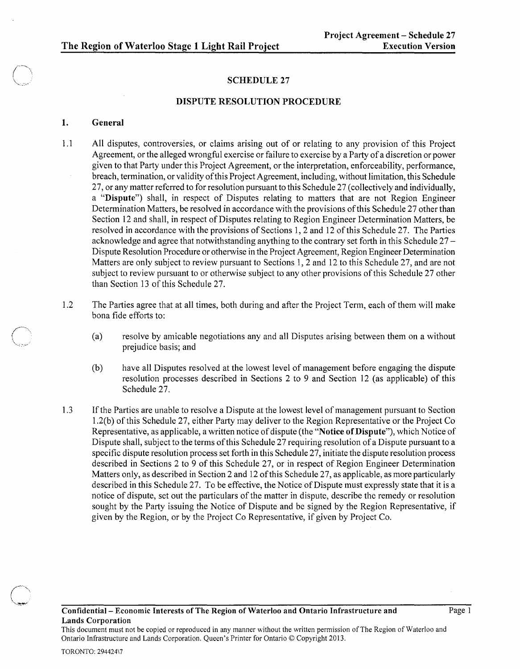### SCHEDULE 27

#### DISPUTE RESOLUTION PROCEDURE

#### 1. General

- 1.1 All disputes, controversies, or claims arising out of or relating to any provision of this Project Agreement, or the alleged wrongful exercise or failure to exercise by a Party of a discretion or power given to that Party under this Project Agreement, or the interpretation, enforceability, performance, breach, termination, or validity ofthis Project Agreement, including, without limitation, this Schedule 27, or any matter referred to for resolution pursuant to this Schedule 27 (collectively and individually, a "Dispute") shall, in respect of Disputes relating to matters that are not Region Engineer Determination Matters, be resolved in accordance with the provisions of this Schedule 27 other than Section 12 and shall, in respect of Disputes relating to Region Engineer Determination Matters, be resolved in accordance with the provisions of Sections 1,2 and 12 of this Schedule 27. The Parties acknowledge and agree that notwithstanding anything to the contrary set forth in this Schedule 27 - Dispute Resolution Procedure or otherwise in the Project Agreement, Region Engineer Determination Matters are only subject to review pursuant to Sections 1,2 and 12 to this Schedule 27, and are not subject to review pursuant to or otherwise subject to any other provisions of this Schedule 27 other than Section 13 of this Schedule 27.
- 1.2 The Parties agree that at all times, both during and after the Project Term, each of them will make bona fide efforts to:
	- (a) resolve by amicable negotiations any and all Disputes arising between them on a without prejudice basis; and
	- (b) have all Disputes resolved at the lowest level of management before engaging the dispute resolution processes described in Sections 2 to 9 and Section 12 (as applicable) of this Schedule 27.
- 1.3 If the Parties are unable to resolve a Dispute at the lowest level of management pursuant to Section 1.2(b) of this Schedule 27, either Party may deliver to the Region Representative or the Project Co Representative, as applicable, a written notice of dispute (the "Notice of Dispute"), which Notice of Dispute shall, subject to the terms of this Schedule 27 requiring resolution of a Dispute pursuant to a specific dispute resolution process set forth in this Schedule 27, initiate the dispute resolution process described in Sections 2 to 9 of this Schedule 27, or in respect of Region Engineer Determination Matters only, as described in Section 2 and 12 of this Schedule 27, as applicable, as more particularly described in this Schedule 27. To be effective, the Notice of Dispute must expressly state that it is a notice of dispute, set out the particulars of the matter in dispute, describe the remedy or resolution sought by the Party issuing the Notice of Dispute and be signed by the Region Representative, if given by the Region, or by the Project Co Representative, if given by Project Co.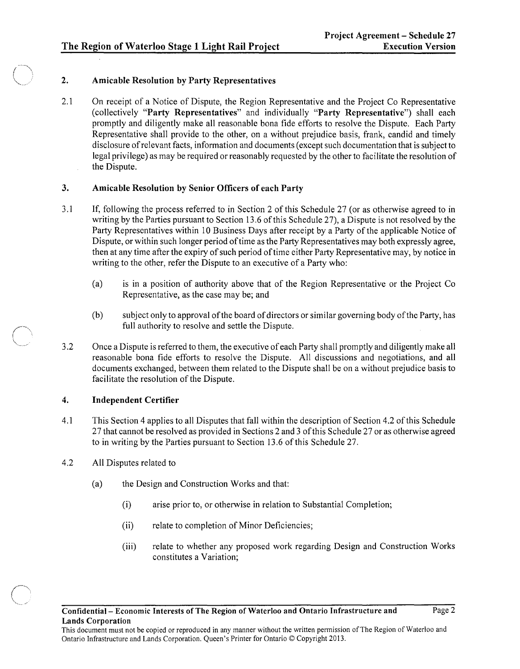# 2. Amicable Resolution by Party Representatives

2.1 On receipt of a Notice of Dispute, the Region Representative and the Project Co Representative (collectively "Party Representatives" and individually "Party Representative") shall each promptly and diligently make all reasonable bona fide efforts to resolve the Dispute. Each Party Representative shall provide to the other, on a without prejudice basis, frank, candid and timely disclosure of relevant facts, information and documents (except such documentation that is subject to legal privilege) as may be required or reasonably requested by the other to facilitate the resolution of the Dispute.

### 3. Amicable Resolution by Senior Officers of each Party

- 3.1 If, following the process referred to in Section 2 of this Schedule 27 (or as otherwise agreed to in writing by the Parties pursuant to Section 13.6 of this Schedule 27), a Dispute is not resolved by the Party Representatives within 10 Business Days after receipt by a Party of the applicable Notice of Dispute, or within such longer period of time as the Party Representatives may both expressly agree, then at any time after the expiry of such period of time either Party Representative may, by notice in writing to the other, refer the Dispute to an executive of a Party who:
	- (a) is in a position of authority above that of the Region Representative or the Project Co Representative, as the case may be; and
	- (b) subject only to approval of the board of directors or similar governing body of the Party, has full authority to resolve and settle the Dispute.
- 3.2 Once a Dispute is referred to them, the executive of each Party shall promptly and diligently make all reasonable bona fide efforts to resolve the Dispute. All discussions and negotiations, and all documents exchanged, between them related to the Dispute shall be on a without prejudice basis to facilitate the resolution of the Dispute.

# 4. Independent Certifier

- 4.1 This Section 4 applies to all Disputes that fall within the description of Section 4.2 of this Schedule 27 that cannot be resolved as provided in Sections 2 and 3 of this Schedule 27 or as otherwise agreed to in writing by the Parties pursuant to Section 13.6 of this Schedule 27.
- 4.2 All Disputes related to
	- (a) the Design and Construction Works and that:
		- (i) arise prior to, or otherwise in relation to Substantial Completion;
		- (ii) relate to completion of Minor Deficiencies;
		- (iii) relate to whether any proposed work regarding Design and Construction Works constitutes a Variation;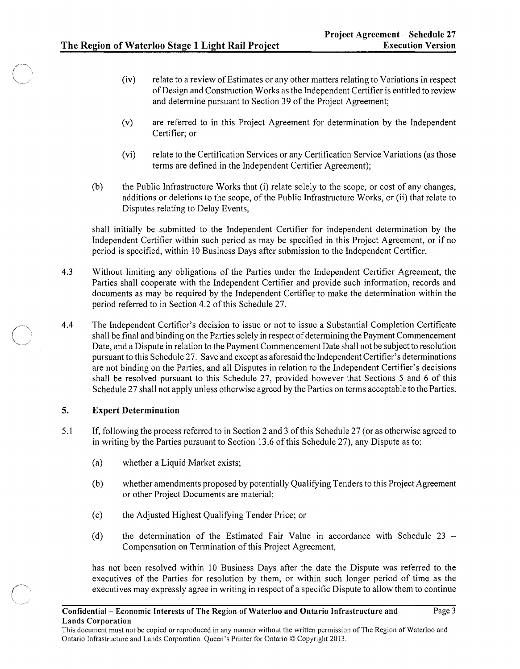- (iv) relate to a review of Estimates or any other matters relating to Variations in respect of Design and Construction Works as the Independent Certifier is entitled to review and determine pursuant to Section 39 of the Project Agreement;
- (v) are referred to in this Project Agreement for determination by the Independent Certifier; or
- (vi) relate to the Certification Services or any Certification Service Variations (as those terms are defined in the Independent Certifier Agreement);
- (b) the Public Infrastructure Works that (i) relate solely to the scope, or cost of any changes, additions or deletions to the scope, of the Public Infrastructure Works, or (ii) that relate to Disputes relating to Delay Events,

shall initially be submitted to the Independent Certifier for independent determination by the Independent Certifier within such period as may be specified in this Project Agreement, or if no period is specified, within 10 Business Days after submission to the Independent Certifier.

- 4.3 Without limiting any obligations of the Parties under the Independent Certifier Agreement, the Parties shall cooperate with the Independent Certifier and provide such information, records and documents as may be required by the Independent Certifier to make the determination within the period referred to in Section 4.2 of this Schedule 27.
- 4.4 The Independent Certifier's decision to issue or not to issue a Substantial Completion Certificate shall be final and binding on the Parties solely in respect of determining the Payment Commencement Date, and a Dispute in relation to the Payment Commencement Date shall not be subject to resolution pursuant to this Schedule 27. Save and except as aforesaid the Independent Certifier's determinations are not binding on the Parties, and all Disputes in relation to the Independent Certifier's decisions shall be resolved pursuant to this Schedule 27, provided however that Sections 5 and 6 of this Schedule 27 shall not apply unless otherwise agreed by the Parties on terms acceptable to the Parties.

# 5. Expert Determination

- 5.1 If, following the process referred to in Section 2 and 3 of this Schedule 27 (or as otherwise agreed to in writing by the Parties pursuant to Section 13.6 of this Schedule 27), any Dispute as to:
	- (a) whether a Liquid Market exists;
	- (b) whether amendments proposed by potentially Qualifying Tenders to this Project Agreement or other Project Documents are material;
	- (c) the Adjusted Highest Qualifying Tender Price; or
	- (d) the determination of the Estimated Fair Value in accordance with Schedule 23 -Compensation on Termination of this Project Agreement,

has not been resolved within 10 Business Days after the date the Dispute was referred to the executives of the Parties for resolution by them, or within such longer period of time as the executives may expressly agree in writing in respect of a specific Dispute to allow them to continue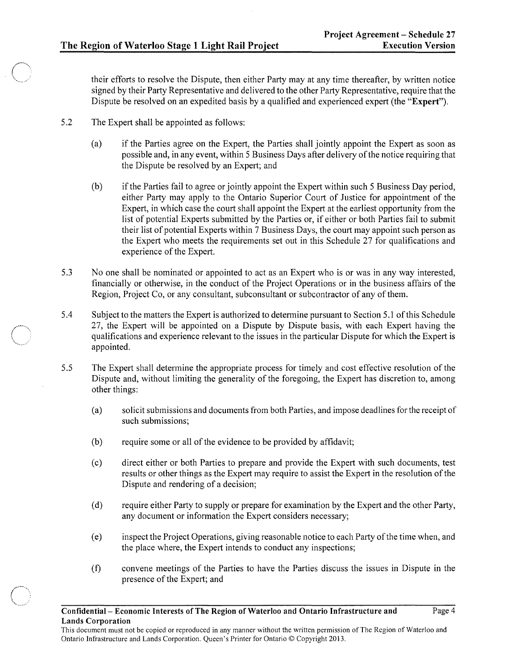their efforts to resolve the Dispute, then either Party may at any time thereafter, by written notice signed by their Party Representative and delivered to the other Party Representative, require that the Dispute be resolved on an expedited basis by a qualified and experienced expert (the "Expert").

- 5.2 The Expert shall be appointed as follows:
	- (a) if the Parties agree on the Expert, the Parties shall jointly appoint the Expert as soon as possible and, in any event, within 5 Business Days after delivery of the notice requiring that the Dispute be resolved by an Expert; and
	- (b) if the Parties fail to agree or jointly appoint the Expert within such 5 Business Day period, either Party may apply to the Ontario Superior Court of Justice for appointment of the Expert, in which case the court shall appoint the Expert at the earliest opportunity from the list of potential Experts submitted by the Parties or, if either or both Parties fail to submit their list of potential Experts within 7 Business Days, the court may appoint such person as the Expert who meets the requirements set out in this Schedule 27 for qualifications and experience of the Expert.
- 5.3 No one shall be nominated or appointed to act as an Expert who is or was in any way interested, financially or otherwise, in the conduct of the Project Operations or in the business affairs of the Region, Project Co, or any consultant, subconsultant or subcontractor of any of them.
- 5.4 Subject to the matters the Expert is authorized to determine pursuant to Section 5.1 of this Schedule 27, the Expert will be appointed on a Dispute by Dispute basis, with each Expert having the qualifications and experience relevant to the issues in the particular Dispute for which the Expert is appointed.
- 5.5 The Expert shall determine the appropriate process for timely and cost effective resolution of the Dispute and, without limiting the generality of the foregoing, the Expert has discretion to, among other things:
	- (a) solicit submissions and documents from both Parties, and impose deadlines for the receipt of such submissions;
	- (b) require some or all of the evidence to be provided by affidavit;
	- ( c) direct either or both Parties to prepare and provide the Expert with such documents, test results or other things as the Expert may require to assist the Expert in the resolution of the Dispute and rendering of a decision;
	- (d) require either Party to supply or prepare for examination by the Expert and the other Party, any document or information the Expert considers necessary;
	- (e) inspect the Project Operations, giving reasonable notice to each Party of the time when, and the place where, the Expert intends to conduct any inspections;
	- (f) convene meetings of the Parties to have the Parties discuss the issues in Dispute in the presence of the Expert; and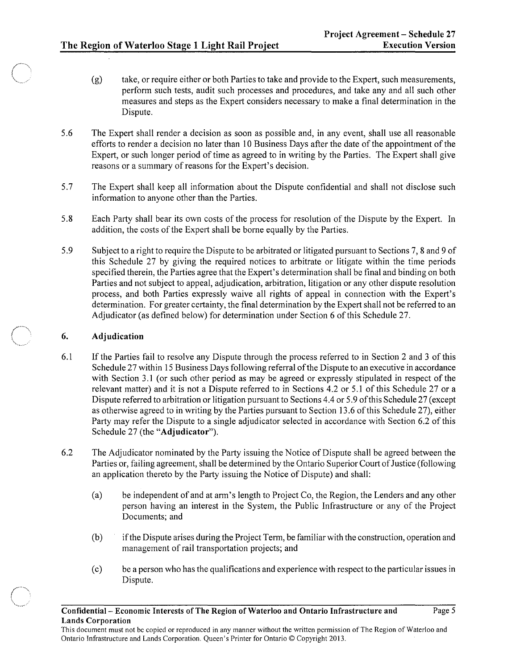- (g) take, or require either or both Parties to take and provide to the Expert, such measurements, perform such tests, audit such processes and procedures, and take any and all such other measures and steps as the Expert considers necessary to make a final determination in the Dispute.
- 5.6 The Expert shall render a decision as soon as possible and, in any event, shall use all reasonable efforts to render a decision no later than 10 Business Days after the date of the appointment of the Expert, or such longer period of time as agreed to in writing by the Parties. The Expert shall give reasons or a summary of reasons for the Expert's decision.
- 5.7 The Expert shall keep all information about the Dispute confidential and shall not disclose such information to anyone other than the Parties.
- 5.8 Each Party shall bear its own costs of the process for resolution of the Dispute by the Expert. In addition, the costs of the Expert shall be borne equally by the Parties.
- 5.9 Subject to a right to require the Dispute to be arbitrated or litigated pursuant to Sections 7, 8 and 9 of this Schedule 27 by giving the required notices to arbitrate or litigate within the time periods specified therein, the Parties agree that the Expert's determination shall be final and binding on both Parties and not subject to appeal, adjudication, arbitration, litigation or any other dispute resolution process, and both Parties expressly waive all rights of appeal in connection with the Expert's determination. For greater certainty, the final determination by the Expert shall not be referred to an Adjudicator (as defined below) for determination under Section 6 of this Schedule 27.

### 6. Adjudication

- 6.1 If the Parties fail to resolve any Dispute through the process referred to in Section 2 and 3 of this Schedule 27 within 15 Business Days following referral of the Dispute to an executive in accordance with Section 3.1 (or such other period as may be agreed or expressly stipulated in respect of the relevant matter) and it is not a Dispute referred to in Sections 4.2 or 5.1 of this Schedule 27 or a Dispute referred to arbitration or litigation pursuant to Sections 4.4 or 5.9 of this Schedule 27 (except as otherwise agreed to in writing by the Parties pursuant to Section 13.6 of this Schedule 27), either Party may refer the Dispute to a single adjudicator selected in accordance with Section 6.2 of this Schedule 27 (the "Adjudicator").
- 6.2 The Adjudicator nominated by the Party issuing the Notice of Dispute shall be agreed between the Parties or, failing agreement, shall be determined by the Ontario Superior Court of Justice (following an application thereto by the Party issuing the Notice of Dispute) and shall:
	- (a) be independent of and at arm's length to Project Co, the Region, the Lenders and any other person having an interest in the System, the Public Infrastructure or any of the Project Documents; and
	- (b) ifthe Dispute arises during the Project Term, be familiar with the construction, operation and management of rail transportation projects; and
	- (c) be a person who has the qualifications and experience with respect to the particular issues in Dispute.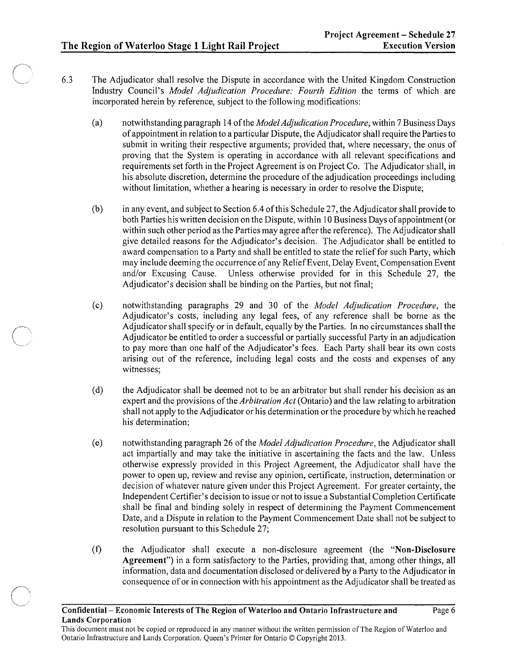- 6.3 The Adjudicator shall resolve the Dispute in accordance with the United Kingdom Construction Industry Council's *Model Adjudication Procedure: Fourth Edition* the terms of which are incorporated herein by reference, subject to the following modifications:
	- (a) notwithstanding paragraph 14 of the *Model Adjudication Procedure,* within 7 Business Days of appointment in relation to a particular Dispute, the Adjudicator shall require the Parties to submit in writing their respective arguments; provided that, where necessary, the onus of proving that the System is operating in accordance with all relevant specifications and requirements set forth in the Project Agreement is on Project Co. The Adjudicator shall, in his absolute discretion, determine the procedure of the adjudication proceedings including without limitation, whether a hearing is necessary in order to resolve the Dispute;
	- (b) in any event, and subject to Section 6.4 of this Schedule 27, the Adjudicator shall provide to both Parties his written decision on the Dispute, within 10 Business Days of appointment (or within such other period as the Parties may agree after the reference). The Adjudicator shall give detailed reasons for the Adjudicator'S decision. The Adjudicator shall be entitled to award compensation to a Party and shall be entitled to state the relieffor such Party, which may include deeming the occurrence of any Relief Event, Delay Event, Compensation Event and/or Excusing Cause. Unless otherwise provided for in this Schedule 27, the Adjudicator's decision shall be binding on the Parties, but not final;
	- (c) notwithstanding paragraphs 29 and 30 of the *Model Adjudication Procedure,* the Adjudicator's costs, including any legal fees, of any reference shall be borne as the Adjudicator shall specify or in default, equally by the Parties. In no circumstances shall the Adjudicator be entitled to order a successful or partially successful Party in an adjudication to pay more than one half of the Adjudicator's fees. Each Party shall bear its own costs arising out of the reference, including legal costs and the costs and expenses of any witnesses;
	- (d) the Adjudicator shall be deemed not to be an arbitrator but shall render his decision as an expert and the provisions of the *Arbitration Act* (Ontario) and the law relating to arbitration shall not apply to the Adjudicator or his determination or the procedure by which he reached his determination;
	- (e) notwithstanding paragraph 26 of the *Model Adjudication Procedure,* the Adjudicator shall act impartially and may take the initiative in ascertaining the facts and the law. Unless otherwise expressly provided in this Project Agreement, the Adjudicator shall have the power to open up, review and revise any opinion, certificate, instruction, determination or decision of whatever nature given under this Project Agreement. For greater certainty, the Independent Certifier's decision to issue or not to issue a Substantial Completion Certificate shall be final and binding solely in respect of determining the Payment Commencement Date, and a Dispute in relation to the Payment Commencement Date shall not be subject to resolution pursuant to this Schedule 27;
	- (f) the Adjudicator shall execute a non-disclosure agreement (the "Non-Disclosure Agreement") in a form satisfactory to the Patties, providing that, among other things, all information, data and documentation disclosed or delivered by a Party to the Adjudicator in consequence of or in connection with his appointment as the Adjudicator shall be treated as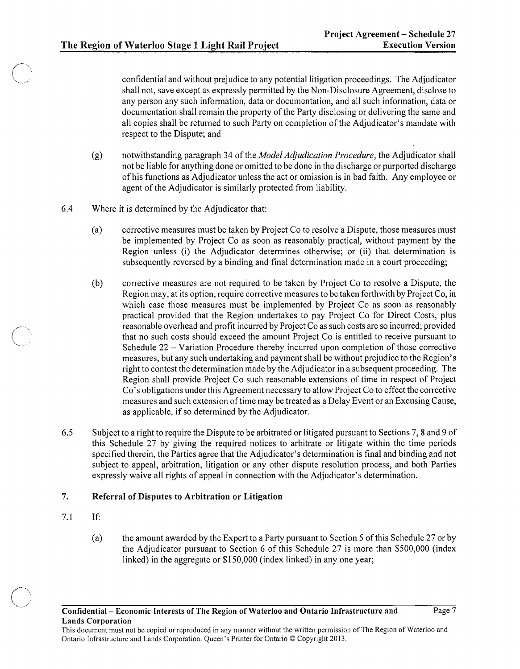confidential and without prejudice to any potential litigation proceedings. The Adjudicator shall not, save except as expressly permitted by the Non-Disclosure Agreement, disclose to any person any such information, data or documentation, and all such information, data or documentation shall remain the property of the Party disclosing or delivering the same and all copies shall be returned to such Party on completion of the Adjudicator's mandate with respect to the Dispute; and

- (g) notwithstanding paragraph 34 of the *Model Adjudication Procedure,* the Adjudicator shall not be liable for anything done or omitted to be done in the discharge or purported discharge of his functions as Adjudicator unless the act or omission is in bad faith. Any employee or agent of the Adjudicator is similarly protected from liability.
- 6.4 Where it is determined by the Adjudicator that:
	- (a) corrective measures must be taken by Project Co to resolve a Dispute, those measures must be implemented by Project Co as soon as reasonably practical, without payment by the Region unless (i) the Adjudicator determines otherwise; or (ii) that determination is subsequently reversed by a binding and final determination made in a court proceeding;
	- (b) corrective measures are not required to be taken by Project Co to resolve a Dispute, the Region may, at its option, require corrective measures to be taken forthwith by Project Co, in which case those measures must be implemented by Project Co as soon as reasonably practical provided that the Region undertakes to pay Project Co for Direct Costs, plus reasonable overhead and profit incurred by Project Co as such costs are so incurred; provided that no such costs should exceed the amount Project Co is entitled to receive pursuant to Schedule 22 - Variation Procedure thereby incurred upon completion of those corrective measures, but any such undertaking and payment shall be without prejudice to the Region's right to contest the determination made by the Adjudicator in a subsequent proceeding. The Region shall provide Project Co such reasonable extensions of time in respect of Project Co's obligations under this Agreement necessary to allow Project Co to effect the corrective measures and such extension of time may be treated as a Delay Event or an Excusing Cause, as applicable, if so determined by the Adjudicator.
- 6.5 Subject to a right to require the Dispute to be arbitrated or litigated pursuant to Sections 7,8 and 9 of this Schedule 27 by giving the required notices to arbitrate or litigate within the time periods specified therein, the Parties agree that the Adjudicator's determination is final and binding and not subject to appeal, arbitration, litigation or any other dispute resolution process, and both Parties expressly waive all rights of appeal in connection with the Adjudicator's determination.

### 7. Referral of Disputes to Arbitration or Litigation

- 7.1 If:
	- (a) the amount awarded by the Expert to a Party pursuant to Section 5 of this Schedule 27 or by the Adjudicator pursuant to Section 6 of this Schedule 27 is more than \$500,000 (index linked) in the aggregate or \$150,000 (index linked) in any one year;

Ontario Infrastructure and Lands Corporation. Queen's Printer for Ontario © Copyright 2013.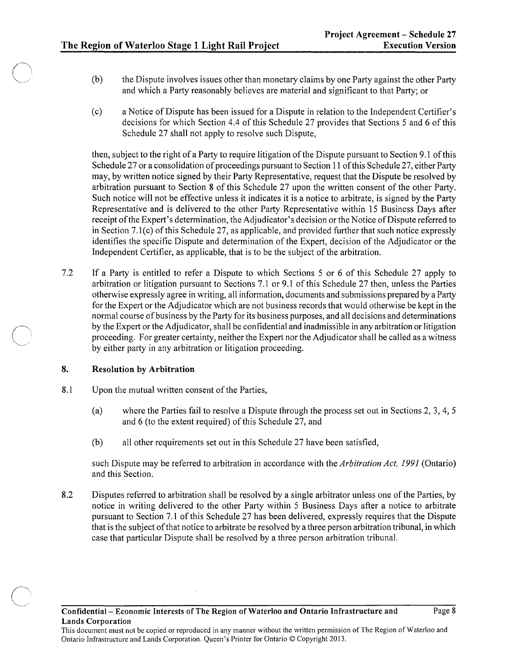$\left\langle \begin{array}{c} \end{array} \right\rangle$ *\·'"'--\_\_\_ -r* 

 $\ell'=\ell'$ "'-~"-~--'

- (b) the Dispute involves issues other than monetary claims by one Party against the other Party and which a Party reasonably believes are material and significant to that Party; or
- (c) a Notice of Dispute has been issued for a Dispute in relation to the Independent Certifier's decisions for which Section 4.4 of this Schedule 27 provides that Sections 5 and 6 of this Schedule 27 shall not apply to resolve such Dispute,

then, subject to the right of a Party to require litigation of the Dispute pursuant to Section 9.1 of this Schedule 27 or a consolidation of proceedings pursuant to Section 11 of this Schedule 27, either Party may, by written notice signed by their Party Representative, request that the Dispute be resolved by arbitration pursuant to Section 8 of this Schedule 27 upon the written consent of the other Party. Such notice will not be effective unless it indicates it is a notice to arbitrate, is signed by the Party Representative and is delivered to the other Party Representative within 15 Business Days after receipt of the Expert's determination, the Adjudicator's decision or the Notice of Dispute referred to in Section 7.l(c) of this Schedule 27, as applicable, and provided further that such notice expressly identifies the specific Dispute and determination of the Expert, decision of the Adjudicator or the Independent Certifier, as applicable, that is to be the subject of the arbitration.

7.2 If a Party is entitled to refer a Dispute to which Sections 5 or 6 of this Schedule 27 apply to arbitration or litigation pursuant to Sections 7.l or 9.1 of this Schedule 27 then, unless the Parties otherwise expressly agree in writing, all information, documents and submissions prepared by a Party for the Expert or the Adjudicator which are not business records that would otherwise be kept in the normal course of business by the Party for its business purposes, and all decisions and determinations by the Expert or the Adjudicator, shall be confidential and inadmissible in any arbitration or litigation proceeding. For greater certainty, neither the Expert nor the Adjudicator shall be called as a witness by either party in any arbitration or litigation proceeding.

### 8. Resolution by Arbitration

- 8.1 Upon the mutual written consent of the Parties,
	- (a) where the Parties fail to resolve a Dispute through the process set out in Sections 2, 3, 4, 5 and 6 (to the extent required) of this Schedule 27, and
	- (b) all other requirements set out in this Schedule 27 have been satisfied,

such Dispute may be referred to arbitration in accordance with the *Arbitration Act,* 1991 (Ontario) and this Section.

8.2 Disputes referred to arbitration shall be resolved by a single arbitrator unless one of the Parties, by notice in writing delivered to the other Party within 5 Business Days after a notice to arbitrate pursuant to Section 7.1 of this Schedule 27 has been delivered, expressly requires that the Dispute that is the subject of that notice to arbitrate be resolved by a three person arbitration tribunal, in which case that particular Dispute shall be resolved by a three person arbitration tribunal.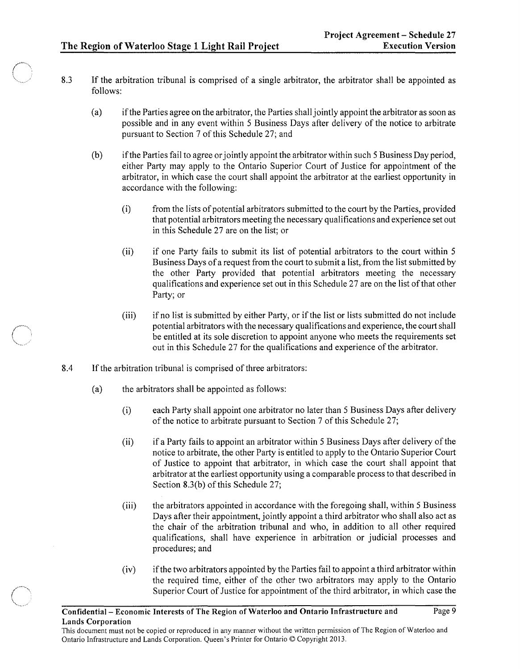- 8.3 If the arbitration tribunal is comprised of a single arbitrator, the arbitrator shall be appointed as follows:
	- (a) ifthe Parties agree on the arbitrator, the Parties shall jointly appoint the arbitrator as soon as possible and in any event within 5 Business Days after delivery of the notice to arbitrate pursuant to Section 7 of this Schedule 27; and
	- (b) if the Parties fail to agree or jointly appoint the arbitrator within such 5 Business Day period, either Party may apply to the Ontario Superior Court of Justice for appointment of the arbitrator, in which case the court shall appoint the arbitrator at the earliest opportunity in accordance with the following:
		- (i) from the lists of potential arbitrators submitted to the court by the Parties, provided that potential arbitrators meeting the necessary qualifications and experience set out in this Schedule 27 are on the list; or
		- (ii) if one Party fails to submit its list of potential arbitrators to the court within 5 Business Days of a request from the court to submit a list, from the list submitted by the other Party provided that potential arbitrators meeting the necessary qualifications and experience set out in this Schedule 27 are on the list of that other Party; or
		- (iii) ifno list is submitted by either Party, or if the list or lists submitted do not include potential arbitrators with the necessary qualifications and experience, the court shall be entitled at its sole discretion to appoint anyone who meets the requirements set out in this Schedule 27 for the qualifications and experience of the arbitrator.
- 8.4 If the arbitration tribunal is comprised of three arbitrators:
	- (a) the arbitrators shall be appointed as follows:
		- (i) each Party shall appoint one arbitrator no later than 5 Business Days after delivery of the notice to arbitrate pursuant to Section 7 of this Schedule 27;
		- (ii) if a Party fails to appoint an arbitrator within 5 Business Days after delivery of the notice to arbitrate, the other Party is entitled to apply to the Ontario Superior Court of Justice to appoint that arbitrator, in which case the court shall appoint that arbitrator at the earliest opportunity using a comparable process to that described in Section 8.3(b) of this Schedule 27;
		- (iii) the arbitrators appointed in accordance with the foregoing shall, within 5 Business Days after their appointment, jointly appoint a third arbitrator who shall also act as the chair of the arbitration tribunal and who, in addition to all other required qualifications, shall have experience in arbitration or judicial processes and procedures; and
		- (iv) ifthe two arbitrators appointed by the Parties fail to appoint a third arbitrator within the required time, either of the other two arbitrators may apply to the Ontario Superior Court of Justice for appointment of the third arbitrator, in which case the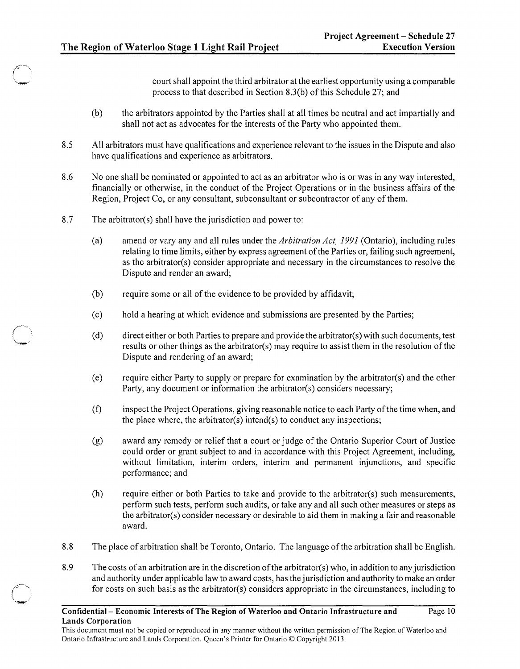court shall appoint the third arbitrator at the earliest opportunity using a comparable process to that described in Section 8.3(b) of this Schedule 27; and

- (b) the arbitrators appointed by the Parties shall at all times be neutral and act impartially and shall not act as advocates for the interests of the Party who appointed them.
- 8.5 All arbitrators must have qualifications and experience relevant to the issues in the Dispute and also have qualifications and experience as arbitrators.
- 8.6 No one shall be nominated or appointed to act as an arbitrator who is or was in any way interested, financially or otherwise, in the conduct of the Project Operations or in the business affairs of the Region, Project Co, or any consultant, subconsultant or subcontractor of any of them.
- 8.7 The arbitrator(s) shall have the jurisdiction and power to:
	- (a) amend or vary any and all rules under the *Arbitration Act,* 1991 (Ontario), including rules relating to time limits, either by express agreement of the Parties or, failing such agreement, as the arbitrator(s) consider appropriate and necessary in the circumstances to resolve the Dispute and render an award;
	- (b) require some or all of the evidence to be provided by affidavit;
	- (c) hold a hearing at which evidence and submissions are presented by the Parties;
	- (d) direct either or both Parties to prepare and provide the arbitrator(s) with such documents, test results or other things as the arbitrator(s) may require to assist them in the resolution ofthe Dispute and rendering of an award;
	- (e) require either Party to supply or prepare for examination by the arbitrator(s) and the other Party, any document or information the arbitrator(s) considers necessary;
	- (f) inspect the Project Operations, giving reasonable notice to each Party of the time when, and the place where, the arbitrator(s) intend(s) to conduct any inspections;
	- (g) award any remedy or relief that a court or judge of the Ontario Superior Court of Justice could order or grant subject to and in accordance with this Project Agreement, including, without limitation, interim orders, interim and permanent injunctions, and specific performance; and
	- (h) require either or both Parties to take and provide to the arbitrator(s) such measurements, perform such tests, perform such audits, or take any and all such other measures or steps as the arbitrator(s) consider necessary or desirable to aid them in making a fair and reasonable award.
- 8.8 The place of arbitration shall be Toronto, Ontario. The language of the arbitration shall be English.
- 8.9 The costs of an arbitration are in the discretion of the arbitrator( $s$ ) who, in addition to any jurisdiction and authority under applicable law to award costs, has the jurisdiction and authority to make an order for costs on such basis as the arbitrator(s) considers appropriate in the circumstances, including to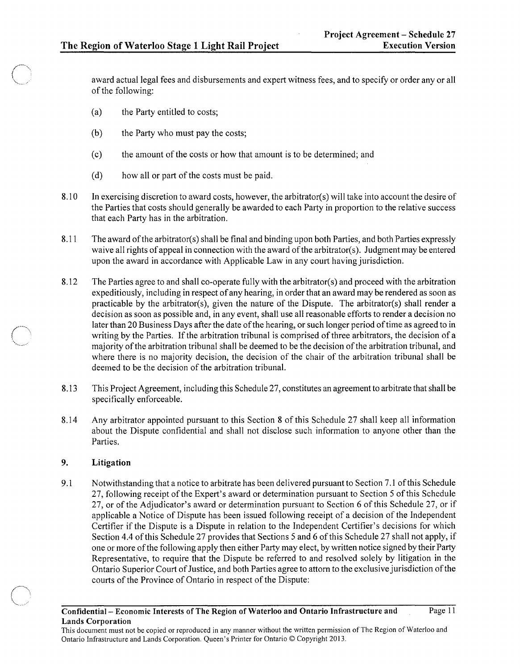award actual legal fees and disbursements and expert witness fees, and to specify or order any or all of the following:

- (a) the Party entitled to costs;
- (b) the Party who must pay the costs;
- (c) the amount of the costs or how that amount is to be determined; and
- (d) how all or part of the costs must be paid.
- 8.10 In exercising discretion to award costs, however, the arbitrator( $s$ ) will take into account the desire of the Parties that costs should generally be awarded to each Party in proportion to the relative success that each Party has in the arbitration.
- 8.11 The award of the arbitrator(s) shall be final and binding upon both Parties, and both Parties expressly waive all rights of appeal in connection with the award of the arbitrator(s). Judgment may be entered upon the award in accordance with Applicable Law in any court having jurisdiction.
- 8.12 The Parties agree to and shall co-operate fully with the arbitrator(s) and proceed with the arbitration expeditiously, including in respect of any hearing, in order that an award may be rendered as soon as practicable by the arbitrator(s), given the nature of the Dispute. The arbitrator(s) shall render a decision as soon as possible and, in any event, shall use all reasonable efforts to render a decision no later than 20 Business Days after the date of the hearing, or such longer period of time as agreed to in writing by the Parties. If the arbitration tribunal is comprised of three arbitrators, the decision of a majority of the arbitration tribunal shall be deemed to be the decision of the arbitration tribunal, and where there is no majority decision, the decision of the chair of the arbitration tribunal shall be deemed to be the decision of the arbitration tribunal.
- 8.13 This Project Agreement, including this Schedule 27, constitutes an agreement to arbitrate that shall be specifically enforceable.
- 8.14 Any arbitrator appointed pursuant to this Section 8 of this Schedule 27 shall keep all information about the Dispute confidential and shall not disclose such information to anyone other than the Parties.

### 9. Litigation

9.1 Notwithstanding that a notice to arbitrate has been delivered pursuant to Section 7.1 of this Schedule 27, following receipt of the Expert's award or determination pursuant to Section 5 of this Schedule 27, or of the Adjudicator's award or determination pursuant to Section 6 of this Schedule 27, or if applicable a Notice of Dispute has been issued following receipt of a decision of the Independent Certifier if the Dispute is a Dispute in relation to the Independent Certifier's decisions for which Section 4.4 of this Schedule 27 provides that Sections 5 and 6 of this Schedule 27 shall not apply, if one or more of the following apply then either Party may elect, by written notice signed by their Party Representative, to require that the Dispute be referred to and resolved solely by litigation in the Ontario Superior Court of Justice, and both Parties agree to attorn to the exclusive jurisdiction of the courts of the Province of Ontario in respect of the Dispute: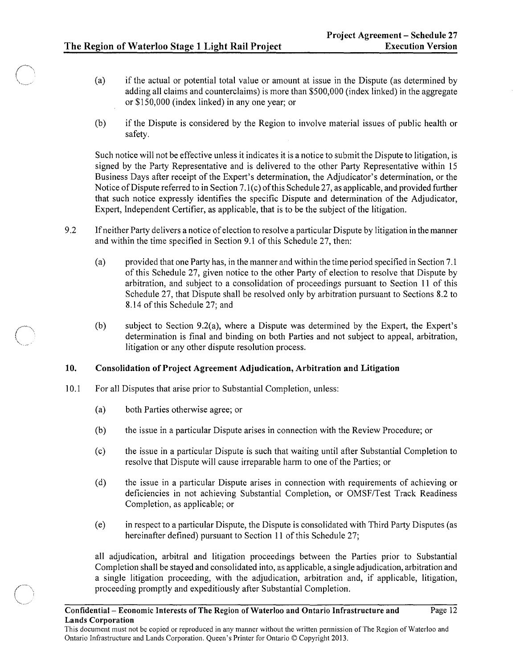- (a) if the actual or potential total value or amount at issue in the Dispute (as determined by adding all claims and counterclaims) is more than \$500,000 (index linked) in the aggregate or \$150,000 (index linked) in anyone year; or
- (b) if the Dispute is considered by the Region to involve material issues of public health or safety.

Such notice will not be effective unless it indicates it is a notice to submit the Dispute to litigation, is signed by the Party Representative and is delivered to the other Party Representative within 15 Business Days after receipt of the Expert's determination, the Adjudicator's determination, or the Notice of Dispute referred to in Section 7.1(c) of this Schedule 27, as applicable, and provided further that such notice expressly identifies the specific Dispute and determination of the Adjudicator, Expert, Independent Certifier, as applicable, that is to be the subject of the litigation.

- 9.2 If neither Party delivers a notice of election to resolve a particular Dispute by litigation in the manner and within the time specified in Section 9.1 of this Schedule 27, then:
	- ( a) provided that one Party has, in the manner and within the time period specified in Section 7.1 of this Schedule 27, given notice to the other Party of election to resolve that Dispute by arbitration, and subject to a consolidation of proceedings pursuant to Section 11 of this Schedule 27, that Dispute shall be resolved only by arbitration pursuant to Sections 8.2 to 8.14 of this Schedule 27; and
	- (b) subject to Section 9.2(a), where a Dispute was determined by the Expert, the Expert's determination is final and binding on both Parties and not subject to appeal, arbitration, litigation or any other dispute resolution process.

### 10. Consolidation of Project Agreement Adjudication, Arbitration and Litigation

- 10.1 For all Disputes that arise prior to Substantial Completion, unless:
	- (a) both Parties otherwise agree; or
	- (b) the issue in a particular Dispute arises in connection with the Review Procedure; or
	- (c) the issue in a particular Dispute is such that waiting until after Substantial Completion to resolve that Dispute will cause irreparable harm to one of the Parties; or
	- (d) the issue in a particular Dispute arises in connection with requirements of achieving or deficiencies in not achieving Substantial Completion, or OMSF/Test Track Readiness Completion, as applicable; or
	- (e) in respect to a particular Dispute, the Dispute is consolidated with Third Party Disputes (as hereinafter defined) pursuant to Section 11 of this Schedule 27;

all adjudication, arbitral and litigation proceedings between the Parties prior to Substantial Completion shall be stayed and consolidated into, as applicable, a single adjudication, arbitration and a single litigation proceeding, with the adjudication, arbitration and, if applicable, litigation, proceeding promptly and expeditiously after Substantial Completion.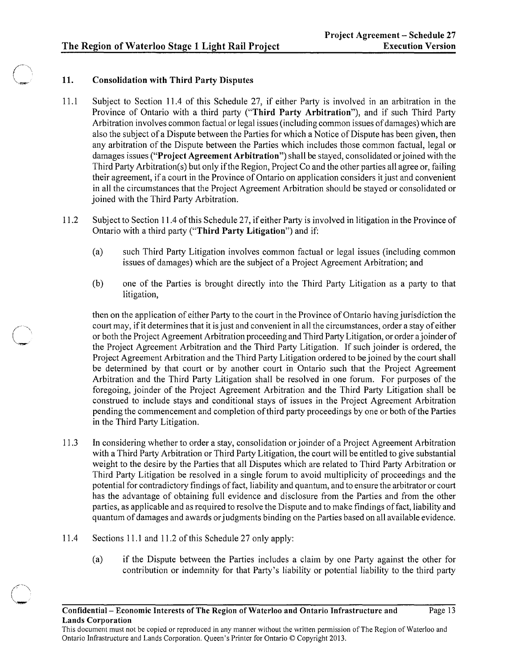# 11. Consolidation with Third Party Disputes

- 11.1 Subject to Section 11.4 of this Schedule 27, if either Party is involved in an arbitration in the Province of Ontario with a third party ("Third Party Arbitration"), and if such Third Party Arbitration involves common factual or legal issues (including common issues of damages) which are also the subject of a Dispute between the Parties for which a Notice of Dispute has been given, then any arbitration of the Dispute between the Parties which includes those common factual, legal or damages issues ("Project Agreement Arbitration") shall be stayed, consolidated or joined with the Third Party Arbitration(s) but only if the Region, Project Co and the other parties all agree or, failing their agreement, if a court in the Province of Ontario on application considers it just and convenient in all the circumstances that the Project Agreement Arbitration should be stayed or consolidated or joined with the Third Party Arbitration.
- 11.2 Subject to Section 11.4 of this Schedule 27, if either Party is involved in litigation in the Province of Ontario with a third party ("Third Party Litigation") and if:
	- (a) such Third Party Litigation involves common factual or legal issues (including common issues of damages) which are the subject of a Project Agreement Arbitration; and
	- (b) one of the Parties is brought directly into the Third Party Litigation as a party to that litigation,

then on the application of either Party to the court in the Province of Ontario having jurisdiction the court may, if it determines that it is just and convenient in all the circumstances, order a stay of either or both the Project Agreement Arbitration proceeding and Third Party Litigation, or order ajoinder of the Project Agreement Arbitration and the Third Party Litigation. If such joinder is ordered, the Project Agreement Arbitration and the Third Party Litigation ordered to be joined by the court shall be determined by that court or by another court in Ontario such that the Project Agreement Arbitration and the Third Party Litigation shall be resolved in one forum. For purposes of the foregoing, joinder of the Project Agreement Arbitration and the Third Party Litigation shall be construed to include stays and conditional stays of issues in the Project Agreement Arbitration pending the commencement and completion of third party proceedings by one or both ofthe Parties in the Third Party Litigation.

- 11.3 In considering whether to order a stay, consolidation or joinder of a Project Agreement Arbitration with a Third Party Arbitration or Third Party Litigation, the court will be entitled to give substantial weight to the desire by the Parties that all Disputes which are related to Third Party Arbitration or Third Party Litigation be resolved in a single forum to avoid multiplicity of proceedings and the potential for contradictory findings offact, liability and quantum, and to ensure the arbitrator or court has the advantage of obtaining full evidence and disclosure from the Parties and from the other parties, as applicable and as required to resolve the Dispute and to make findings offact, liability and quantum of damages and awards or judgments binding on the Parties based on all available evidence.
- 11.4 Sections 11.1 and 11.2 of this Schedule 27 only apply:

 $\sqrt{2}$ \.,-,~

(a) if the Dispute between the Parties includes a claim by one Party against the other for contribution or indemnity for that Party's liability or potential liability to the third party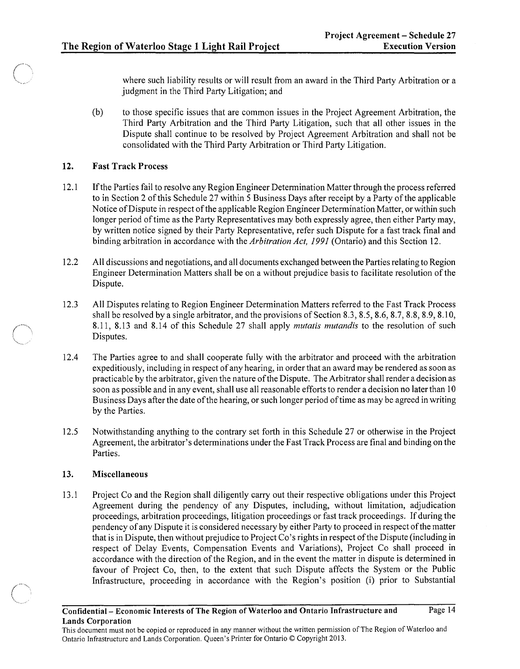where such liability results or will result from an award in the Third Party Arbitration or a judgment in the Third Party Litigation; and

(b) to those specific issues that are common issues in the Project Agreement Arbitration, the Third Party Arbitration and the Third Party Litigation, such that all other issues in the Dispute shall continue to be resolved by Project Agreement Arbitration and shall not be consolidated with the Third Party Arbitration or Third Party Litigation.

### 12. Fast Track Process

- 12.1 If the Parties fail to resolve any Region Engineer Determination Matter through the process referred to in Section 2 of this Schedule 27 within 5 Business Days after receipt by a Party of the applicable Notice of Dispute in respect of the applicable Region Engineer Determination Matter, or within such longer period of time as the Party Representatives may both expressly agree, then either Party may, by written notice signed by their Party Representative, refer such Dispute for a fast track final and binding arbitration in accordance with the *Arbitration Act,* 1991 (Ontario) and this Section 12.
- 12.2 All discussions and negotiations, and all documents exchanged between the Parties relating to Region Engineer Determination Matters shall be on a without prejudice basis to facilitate resolution of the Dispute.
- 12.3 All Disputes relating to Region Engineer Determination Matters referred to the Fast Track Process shall be resolved by a single arbitrator, and the provisions of Section 8.3, 8.5, 8.6, 8.7, 8.8, 8.9, 8.10, 8.11, 8.13 and 8.14 of this Schedule 27 shall apply *mutatis mutandis* to the resolution of such Disputes.
- 12.4 The Parties agree to and shall cooperate fully with the arbitrator and proceed with the arbitration expeditiously, including in respect of any hearing, in order that an award may be rendered as soon as practicable by the arbitrator, given the nature of the Dispute. The Arbitrator shall render a decision as soon as possible and in any event, shall use all reasonable efforts to render a decision no later than 10 Business Days after the date of the hearing, or such longer period of time as may be agreed in writing by the Parties.
- 12.5 Notwithstanding anything to the contrary set forth in this Schedule 27 or otherwise in the Project Agreement, the arbitrator's determinations under the Fast Track Process are final and binding on the Parties.

### 13. Miscellaneous

13.1 Project Co and the Region shall diligently carry out their respective obligations under this Project Agreement during the pendency of any Disputes, including, without limitation, adjudication proceedings, arbitration proceedings, litigation proceedings or fast track proceedings. If during the pendency of any Dispute it is considered necessary by either Party to proceed in respect of the matter that is in Dispute, then without prejudice to Project Co's rights in respect of the Dispute (including in respect of Delay Events, Compensation Events and Variations), Project Co shall proceed in accordance with the direction of the Region, and in the event the matter in dispute is determined in favour of Project Co, then, to the extent that such Dispute affects the System or the Public Infrastructure, proceeding in accordance with the Region's position (i) prior to Substantial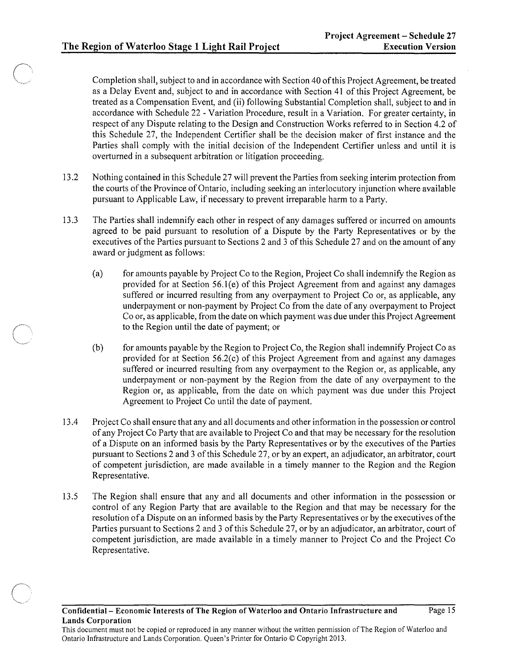Completion shall, subject to and in accordance with Section 40 of this Project Agreement, be treated as a Delay Event and, subject to and in accordance with Section 41 of this Project Agreement, be treated as a Compensation Event, and (ii) following Substantial Completion shall, subject to and in accordance with Schedule 22 - Variation Procedure, result in a Variation. For greater certainty, in respect of any Dispute relating to the Design and Construction Works referred to in Section 4.2 of this Schedule 27, the Independent Certifier shall be the decision maker of first instance and the Parties shall comply with the initial decision of the Independent Certifier unless and until it is overturned in a subsequent arbitration or litigation proceeding.

- 13.2 Nothing contained in this Schedule 27 will prevent the Parties from seeking interim protection from the courts of the Province of Ontario, including seeking an interlocutory injunction where available pursuant to Applicable Law, if necessary to prevent irreparable harm to a Party.
- 13.3 The Parties shall indemnify each other in respect of any damages suffered or incurred on amounts agreed to be paid pursuant to resolution of a Dispute by the Party Representatives or by the executives of the Parties pursuant to Sections 2 and 3 of this Schedule 27 and on the amount of any award or judgment as follows:
	- (a) for amounts payable by Project Co to the Region, Project Co shall indemnify the Region as provided for at Section  $56.1(e)$  of this Project Agreement from and against any damages suffered or incurred resulting from any overpayment to Project Co or, as applicable, any underpayment or non-payment by Project Co from the date of any overpayment to Project Co or, as applicable, from the date on which payment was due under this Project Agreement to the Region until the date of payment; or
	- (b) for amounts payable by the Region to Project Co, the Region shall indemnify Project Co as provided for at Section 56.2(c) of this Project Agreement from and against any damages suffered or incurred resulting from any overpayment to the Region or, as applicable, any underpayment or non-payment by the Region from the date of any overpayment to the Region or, as applicable, from the date on which payment was due under this Project Agreement to Project Co until the date of payment.
- 13.4 Project Co shall ensure that any and all documents and other information in the possession or control of any Project Co Party that are available to Project Co and that may be necessary for the resolution of a Dispute on an informed basis by the Party Representatives or by the executives of the Parties pursuant to Sections 2 and 3 ofthis Schedule 27, or by an expert, an adjudicator, an arbitrator, court of competent jurisdiction, are made available in a timely manner to the Region and the Region Representative.
- 13.5 The Region shall ensure that any and all documents and other information in the possession or control of any Region Party that are available to the Region and that may be necessary for the resolution ofa Dispute on an informed basis by the Party Representatives or by the executives of the Parties pursuant to Sections 2 and 3 of this Schedule 27, or by an adjudicator, an arbitrator, court of competent jurisdiction, are made available in a timely manner to Project Co and the Project Co Representative.